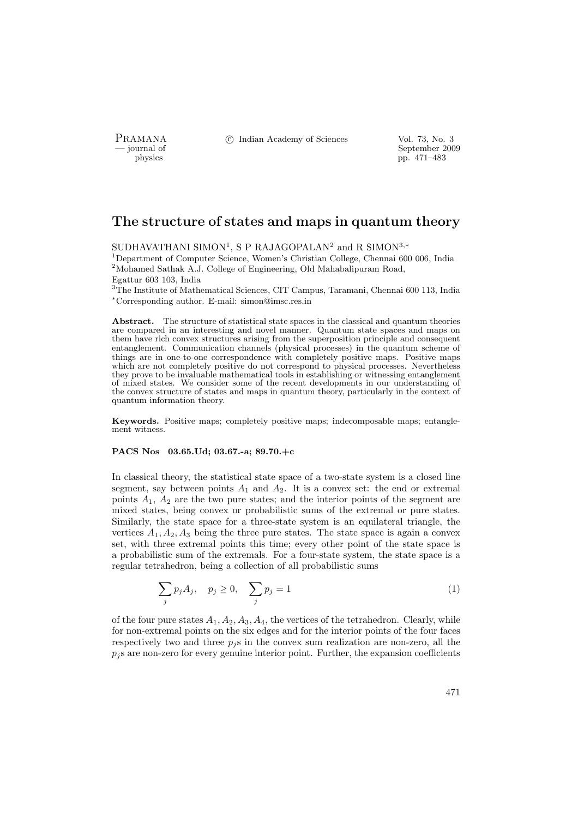PRAMANA <sup>C</sup> Indian Academy of Sciences Vol. 73, No. 3<br>
— journal of September 200

position of the september 2009 of the September 2009 of the September 2009 of the September 2009 pp. 471–483

# The structure of states and maps in quantum theory

SUDHAVATHANI SIMON<sup>1</sup>, S P RAJAGOPALAN<sup>2</sup> and R SIMON<sup>3,∗</sup>

<sup>1</sup>Department of Computer Science, Women's Christian College, Chennai 600 006, India <sup>2</sup>Mohamed Sathak A.J. College of Engineering, Old Mahabalipuram Road, Egattur 603 103, India

<sup>3</sup>The Institute of Mathematical Sciences, CIT Campus, Taramani, Chennai 600 113, India <sup>∗</sup>Corresponding author. E-mail: simon@imsc.res.in

Abstract. The structure of statistical state spaces in the classical and quantum theories are compared in an interesting and novel manner. Quantum state spaces and maps on them have rich convex structures arising from the superposition principle and consequent entanglement. Communication channels (physical processes) in the quantum scheme of things are in one-to-one correspondence with completely positive maps. Positive maps which are not completely positive do not correspond to physical processes. Nevertheless they prove to be invaluable mathematical tools in establishing or witnessing entanglement of mixed states. We consider some of the recent developments in our understanding of the convex structure of states and maps in quantum theory, particularly in the context of quantum information theory.

Keywords. Positive maps; completely positive maps; indecomposable maps; entanglement witness.

## PACS Nos 03.65.Ud; 03.67.-a; 89.70.+c

In classical theory, the statistical state space of a two-state system is a closed line segment, say between points  $A_1$  and  $A_2$ . It is a convex set: the end or extremal points  $A_1$ ,  $A_2$  are the two pure states; and the interior points of the segment are mixed states, being convex or probabilistic sums of the extremal or pure states. Similarly, the state space for a three-state system is an equilateral triangle, the vertices  $A_1, A_2, A_3$  being the three pure states. The state space is again a convex set, with three extremal points this time; every other point of the state space is a probabilistic sum of the extremals. For a four-state system, the state space is a regular tetrahedron, being a collection of all probabilistic sums

$$
\sum_{j} p_j A_j, \quad p_j \ge 0, \quad \sum_{j} p_j = 1 \tag{1}
$$

of the four pure states  $A_1, A_2, A_3, A_4$ , the vertices of the tetrahedron. Clearly, while for non-extremal points on the six edges and for the interior points of the four faces respectively two and three  $p_j$ s in the convex sum realization are non-zero, all the  $p_j$ s are non-zero for every genuine interior point. Further, the expansion coefficients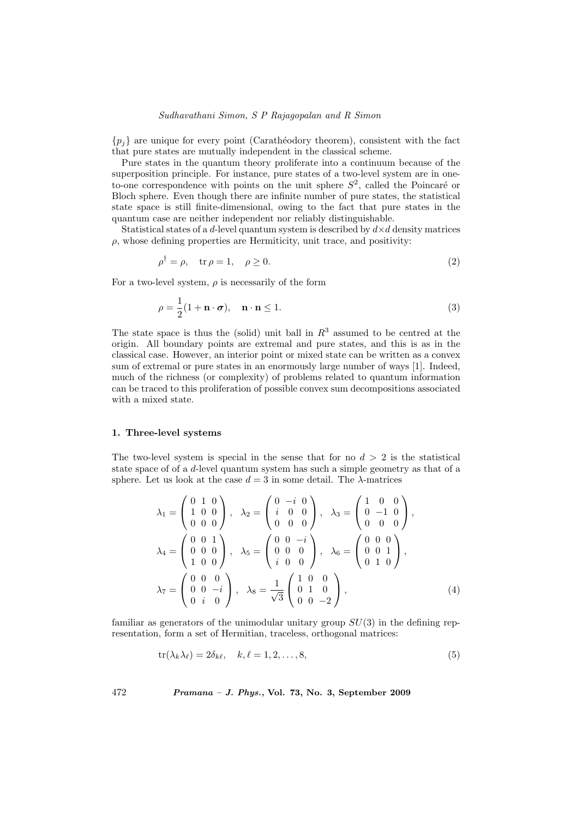# Sudhavathani Simon, S P Rajagopalan and R Simon

 ${p_i}$  are unique for every point (Carathéodory theorem), consistent with the fact that pure states are mutually independent in the classical scheme.

Pure states in the quantum theory proliferate into a continuum because of the superposition principle. For instance, pure states of a two-level system are in oneto-one correspondence with points on the unit sphere  $S^2$ , called the Poincaré or Bloch sphere. Even though there are infinite number of pure states, the statistical state space is still finite-dimensional, owing to the fact that pure states in the quantum case are neither independent nor reliably distinguishable.

Statistical states of a d-level quantum system is described by  $d \times d$  density matrices  $\rho$ , whose defining properties are Hermiticity, unit trace, and positivity:

$$
\rho^{\dagger} = \rho, \quad \text{tr}\,\rho = 1, \quad \rho \ge 0. \tag{2}
$$

For a two-level system,  $\rho$  is necessarily of the form

$$
\rho = \frac{1}{2}(1 + \mathbf{n} \cdot \boldsymbol{\sigma}), \quad \mathbf{n} \cdot \mathbf{n} \le 1.
$$
 (3)

The state space is thus the (solid) unit ball in  $R<sup>3</sup>$  assumed to be centred at the origin. All boundary points are extremal and pure states, and this is as in the classical case. However, an interior point or mixed state can be written as a convex sum of extremal or pure states in an enormously large number of ways [1]. Indeed, much of the richness (or complexity) of problems related to quantum information can be traced to this proliferation of possible convex sum decompositions associated with a mixed state.

#### 1. Three-level systems

The two-level system is special in the sense that for no  $d > 2$  is the statistical state space of of a d-level quantum system has such a simple geometry as that of a sphere. Let us look at the case  $d = 3$  in some detail. The  $\lambda$ -matrices

$$
\lambda_1 = \begin{pmatrix} 0 & 1 & 0 \\ 1 & 0 & 0 \\ 0 & 0 & 0 \end{pmatrix}, \quad \lambda_2 = \begin{pmatrix} 0 & -i & 0 \\ i & 0 & 0 \\ 0 & 0 & 0 \end{pmatrix}, \quad \lambda_3 = \begin{pmatrix} 1 & 0 & 0 \\ 0 & -1 & 0 \\ 0 & 0 & 0 \end{pmatrix},
$$

$$
\lambda_4 = \begin{pmatrix} 0 & 0 & 1 \\ 0 & 0 & 0 \\ 1 & 0 & 0 \end{pmatrix}, \quad \lambda_5 = \begin{pmatrix} 0 & 0 & -i \\ 0 & 0 & 0 \\ i & 0 & 0 \end{pmatrix}, \quad \lambda_6 = \begin{pmatrix} 0 & 0 & 0 \\ 0 & 0 & 1 \\ 0 & 1 & 0 \end{pmatrix},
$$

$$
\lambda_7 = \begin{pmatrix} 0 & 0 & 0 \\ 0 & 0 & -i \\ 0 & i & 0 \end{pmatrix}, \quad \lambda_8 = \frac{1}{\sqrt{3}} \begin{pmatrix} 1 & 0 & 0 \\ 0 & 1 & 0 \\ 0 & 0 & -2 \end{pmatrix}, \tag{4}
$$

familiar as generators of the unimodular unitary group  $SU(3)$  in the defining representation, form a set of Hermitian, traceless, orthogonal matrices:

$$
\text{tr}(\lambda_k \lambda_\ell) = 2\delta_{k\ell}, \quad k, \ell = 1, 2, \dots, 8,\tag{5}
$$

472 Pramana – J. Phys., Vol. 73, No. 3, September 2009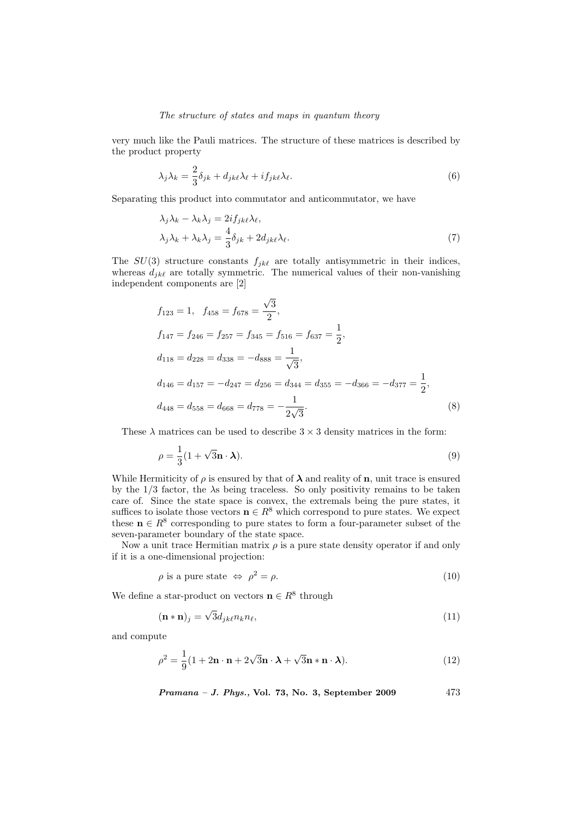very much like the Pauli matrices. The structure of these matrices is described by the product property

$$
\lambda_j \lambda_k = \frac{2}{3} \delta_{jk} + d_{jk\ell} \lambda_\ell + i f_{jk\ell} \lambda_\ell.
$$
\n
$$
(6)
$$

Separating this product into commutator and anticommutator, we have

$$
\lambda_j \lambda_k - \lambda_k \lambda_j = 2i f_{jk\ell} \lambda_\ell, \n\lambda_j \lambda_k + \lambda_k \lambda_j = \frac{4}{3} \delta_{jk} + 2d_{jk\ell} \lambda_\ell.
$$
\n(7)

The  $SU(3)$  structure constants  $f_{jk\ell}$  are totally antisymmetric in their indices, whereas  $d_{jk\ell}$  are totally symmetric. The numerical values of their non-vanishing independent components are [2]

$$
f_{123} = 1, \quad f_{458} = f_{678} = \frac{\sqrt{3}}{2},
$$
  
\n
$$
f_{147} = f_{246} = f_{257} = f_{345} = f_{516} = f_{637} = \frac{1}{2},
$$
  
\n
$$
d_{118} = d_{228} = d_{338} = -d_{888} = \frac{1}{\sqrt{3}},
$$
  
\n
$$
d_{146} = d_{157} = -d_{247} = d_{256} = d_{344} = d_{355} = -d_{366} = -d_{377} = \frac{1}{2},
$$
  
\n
$$
d_{448} = d_{558} = d_{668} = d_{778} = -\frac{1}{2\sqrt{3}}.
$$
\n(8)

These  $\lambda$  matrices can be used to describe  $3 \times 3$  density matrices in the form:

$$
\rho = \frac{1}{3}(1 + \sqrt{3}\mathbf{n} \cdot \mathbf{\lambda}).\tag{9}
$$

While Hermiticity of  $\rho$  is ensured by that of  $\lambda$  and reality of **n**, unit trace is ensured by the  $1/3$  factor, the  $\lambda$ s being traceless. So only positivity remains to be taken care of. Since the state space is convex, the extremals being the pure states, it suffices to isolate those vectors  $\mathbf{n} \in \mathbb{R}^8$  which correspond to pure states. We expect these  $\mathbf{n} \in \mathbb{R}^8$  corresponding to pure states to form a four-parameter subset of the seven-parameter boundary of the state space.

Now a unit trace Hermitian matrix  $\rho$  is a pure state density operator if and only if it is a one-dimensional projection:

$$
\rho \text{ is a pure state } \Leftrightarrow \rho^2 = \rho. \tag{10}
$$

We define a star-product on vectors  $\mathbf{n} \in \mathbb{R}^8$  through

$$
(\mathbf{n} * \mathbf{n})_j = \sqrt{3} d_{jk} e n_k n_\ell, \tag{11}
$$

and compute

$$
\rho^2 = \frac{1}{9}(1 + 2\mathbf{n} \cdot \mathbf{n} + 2\sqrt{3}\mathbf{n} \cdot \mathbf{\lambda} + \sqrt{3}\mathbf{n} \cdot \mathbf{n} \cdot \mathbf{\lambda}).
$$
 (12)

$$
Pramana - J. Phys., Vol. 73, No. 3, September 2009 \qquad \qquad 473
$$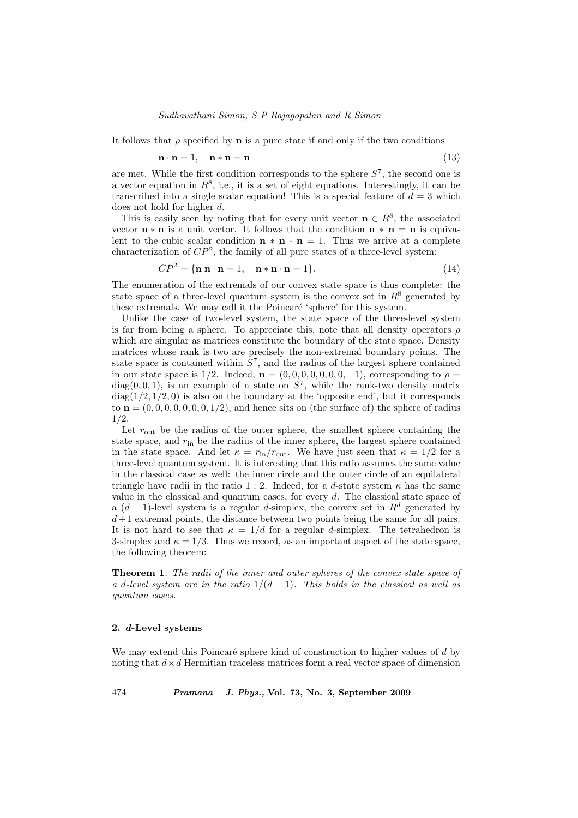It follows that  $\rho$  specified by **n** is a pure state if and only if the two conditions

$$
\mathbf{n} \cdot \mathbf{n} = 1, \quad \mathbf{n} * \mathbf{n} = \mathbf{n} \tag{13}
$$

are met. While the first condition corresponds to the sphere  $S<sup>7</sup>$ , the second one is a vector equation in  $R^8$ , i.e., it is a set of eight equations. Interestingly, it can be transcribed into a single scalar equation! This is a special feature of  $d = 3$  which does not hold for higher d.

This is easily seen by noting that for every unit vector  $\mathbf{n} \in \mathbb{R}^8$ , the associated vector  $\mathbf{n} * \mathbf{n}$  is a unit vector. It follows that the condition  $\mathbf{n} * \mathbf{n} = \mathbf{n}$  is equivalent to the cubic scalar condition  $\mathbf{n} * \mathbf{n} \cdot \mathbf{n} = 1$ . Thus we arrive at a complete characterization of  $\mathbb{CP}^2$ , the family of all pure states of a three-level system:

$$
CP2 = \{n|n \cdot n = 1, \quad n * n \cdot n = 1\}.
$$
\n(14)

The enumeration of the extremals of our convex state space is thus complete: the state space of a three-level quantum system is the convex set in  $R^8$  generated by these extremals. We may call it the Poincaré 'sphere' for this system.

Unlike the case of two-level system, the state space of the three-level system is far from being a sphere. To appreciate this, note that all density operators  $\rho$ which are singular as matrices constitute the boundary of the state space. Density matrices whose rank is two are precisely the non-extremal boundary points. The state space is contained within  $S^7$ , and the radius of the largest sphere contained in our state space is 1/2. Indeed,  $\mathbf{n} = (0, 0, 0, 0, 0, 0, 0, -1)$ , corresponding to  $\rho =$  $diag(0, 0, 1)$ , is an example of a state on  $S^7$ , while the rank-two density matrix  $diag(1/2, 1/2, 0)$  is also on the boundary at the 'opposite end', but it corresponds to  $\mathbf{n} = (0, 0, 0, 0, 0, 0, 1/2)$ , and hence sits on (the surface of) the sphere of radius 1/2.

Let  $r_{\text{out}}$  be the radius of the outer sphere, the smallest sphere containing the state space, and  $r_{\text{in}}$  be the radius of the inner sphere, the largest sphere contained in the state space. And let  $\kappa = r_{\text{in}}/r_{\text{out}}$ . We have just seen that  $\kappa = 1/2$  for a three-level quantum system. It is interesting that this ratio assumes the same value in the classical case as well: the inner circle and the outer circle of an equilateral triangle have radii in the ratio 1 : 2. Indeed, for a d-state system  $\kappa$  has the same value in the classical and quantum cases, for every d. The classical state space of a  $(d+1)$ -level system is a regular d-simplex, the convex set in  $R^d$  generated by  $d+1$  extremal points, the distance between two points being the same for all pairs. It is not hard to see that  $\kappa = 1/d$  for a regular d-simplex. The tetrahedron is 3-simplex and  $\kappa = 1/3$ . Thus we record, as an important aspect of the state space, the following theorem:

**Theorem 1.** The radii of the inner and outer spheres of the convex state space of a d-level system are in the ratio  $1/(d-1)$ . This holds in the classical as well as quantum cases.

### 2. d-Level systems

We may extend this Poincaré sphere kind of construction to higher values of  $d$  by noting that  $d \times d$  Hermitian traceless matrices form a real vector space of dimension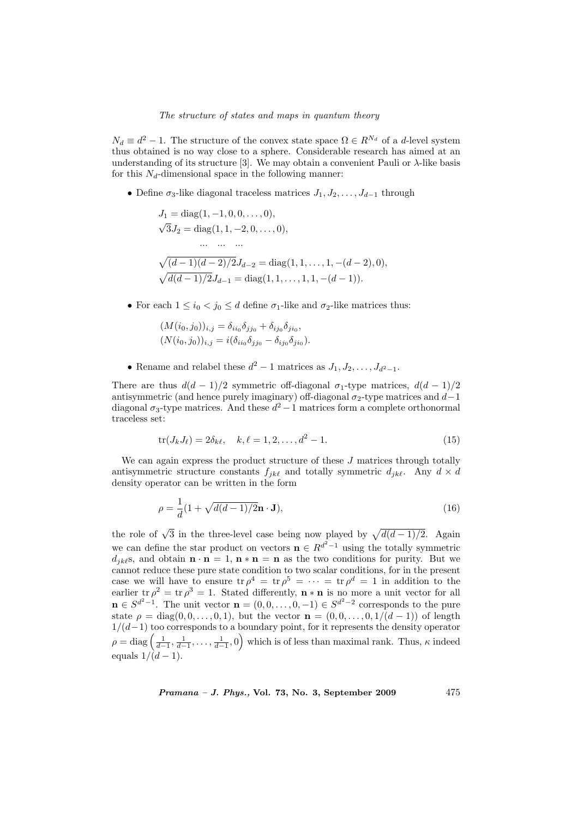$N_d \equiv d^2 - 1$ . The structure of the convex state space  $\Omega \in R^{N_d}$  of a d-level system thus obtained is no way close to a sphere. Considerable research has aimed at an understanding of its structure [3]. We may obtain a convenient Pauli or  $\lambda$ -like basis for this  $N_d$ -dimensional space in the following manner:

• Define  $\sigma_3$ -like diagonal traceless matrices  $J_1, J_2, \ldots, J_{d-1}$  through

$$
J_1 = diag(1, -1, 0, 0, \dots, 0),
$$
  
\n
$$
\sqrt{3}J_2 = diag(1, 1, -2, 0, \dots, 0),
$$
  
\n...\n...\n
$$
\sqrt{(d-1)(d-2)/2}J_{d-2} = diag(1, 1, \dots, 1, -(d-2), 0),
$$
  
\n
$$
\sqrt{d(d-1)/2}J_{d-1} = diag(1, 1, \dots, 1, 1, -(d-1)).
$$

• For each  $1 \le i_0 \le j_0 \le d$  define  $\sigma_1$ -like and  $\sigma_2$ -like matrices thus:

$$
(M(i_0, j_0))_{i,j} = \delta_{ii_0}\delta_{jj_0} + \delta_{ij_0}\delta_{ji_0},
$$
  
\n
$$
(N(i_0, j_0))_{i,j} = i(\delta_{ii_0}\delta_{jj_0} - \delta_{ij_0}\delta_{ji_0}).
$$

• Rename and relabel these  $d^2 - 1$  matrices as  $J_1, J_2, \ldots, J_{d^2-1}$ .

There are thus  $d(d-1)/2$  symmetric off-diagonal  $\sigma_1$ -type matrices,  $d(d-1)/2$ antisymmetric (and hence purely imaginary) off-diagonal  $\sigma_2$ -type matrices and  $d-1$ diagonal  $\sigma_3$ -type matrices. And these  $d^2-1$  matrices form a complete orthonormal traceless set:

$$
\text{tr}(J_k J_\ell) = 2\delta_{k\ell}, \quad k, \ell = 1, 2, \dots, d^2 - 1. \tag{15}
$$

We can again express the product structure of these  $J$  matrices through totally antisymmetric structure constants  $f_{jk\ell}$  and totally symmetric  $d_{jk\ell}$ . Any  $d \times d$ density operator can be written in the form

$$
\rho = \frac{1}{d}(1 + \sqrt{d(d-1)/2}\mathbf{n} \cdot \mathbf{J}),\tag{16}
$$

the role of  $\sqrt{3}$  in the three-level case being now played by  $\sqrt{d(d-1)/2}$ . Again we can define the star product on vectors  $\mathbf{n} \in R^{d^2-1}$  using the totally symmetric  $d_{ik}\ell$ s, and obtain  $\mathbf{n} \cdot \mathbf{n} = 1$ ,  $\mathbf{n} * \mathbf{n} = \mathbf{n}$  as the two conditions for purity. But we cannot reduce these pure state condition to two scalar conditions, for in the present case we will have to ensure  $\text{tr } \rho^4 = \text{tr } \rho^5 = \cdots = \text{tr } \rho^d = 1$  in addition to the earlier tr  $\rho^2 = \text{tr } \rho^3 = 1$ . Stated differently,  $\mathbf{n} * \mathbf{n}$  is no more a unit vector for all  $\mathbf{n} \in S^{d^2-1}$ . The unit vector  $\mathbf{n} = (0,0,\ldots,0,-1) \in S^{d^2-2}$  corresponds to the pure state  $\rho = \text{diag}(0, 0, \ldots, 0, 1)$ , but the vector  $\mathbf{n} = (0, 0, \ldots, 0, 1/(d-1))$  of length  $1/(d-1)$  too corresponds to a boundary point, for it represents the density operator  $1/(d-1)$  too corresponds to a boundary point, for it represents the density operator  $\rho = \text{diag}\left(\frac{1}{d-1}, \frac{1}{d-1}, \ldots, \frac{1}{d-1}, 0\right)$  which is of less than maximal rank. Thus,  $\kappa$  indeed equals  $1/(\dot{d} - 1)$ .

 $Pramana - J. Phys., Vol. 73, No. 3, September 2009$  475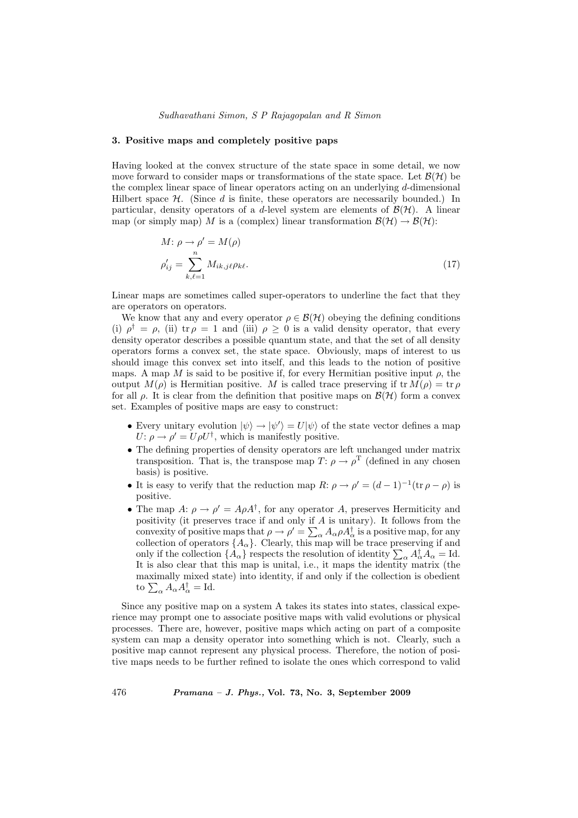#### 3. Positive maps and completely positive paps

Having looked at the convex structure of the state space in some detail, we now move forward to consider maps or transformations of the state space. Let  $\mathcal{B}(\mathcal{H})$  be the complex linear space of linear operators acting on an underlying d-dimensional Hilbert space  $\mathcal{H}$ . (Since d is finite, these operators are necessarily bounded.) In particular, density operators of a d-level system are elements of  $\mathcal{B}(\mathcal{H})$ . A linear map (or simply map) M is a (complex) linear transformation  $\mathcal{B}(\mathcal{H}) \to \mathcal{B}(\mathcal{H})$ :

$$
M: \rho \to \rho' = M(\rho)
$$
  

$$
\rho'_{ij} = \sum_{k,\ell=1}^{n} M_{ik,j\ell} \rho_{k\ell}.
$$
 (17)

Linear maps are sometimes called super-operators to underline the fact that they are operators on operators.

We know that any and every operator  $\rho \in \mathcal{B}(\mathcal{H})$  obeying the defining conditions (i)  $\rho^{\dagger} = \rho$ , (ii) tr  $\rho = 1$  and (iii)  $\rho \geq 0$  is a valid density operator, that every density operator describes a possible quantum state, and that the set of all density operators forms a convex set, the state space. Obviously, maps of interest to us should image this convex set into itself, and this leads to the notion of positive maps. A map M is said to be positive if, for every Hermitian positive input  $\rho$ , the output  $M(\rho)$  is Hermitian positive. M is called trace preserving if tr  $M(\rho) = \text{tr } \rho$ for all  $\rho$ . It is clear from the definition that positive maps on  $\mathcal{B}(\mathcal{H})$  form a convex set. Examples of positive maps are easy to construct:

- Every unitary evolution  $|\psi\rangle \rightarrow |\psi'\rangle = U|\psi\rangle$  of the state vector defines a map  $U: \rho \to \rho' = U \rho U^{\dagger}$ , which is manifestly positive.
- The defining properties of density operators are left unchanged under matrix transposition. That is, the transpose map  $T: \rho \to \rho^T$  (defined in any chosen basis) is positive.
- It is easy to verify that the reduction map  $R: \rho \to \rho' = (d-1)^{-1}(\text{tr } \rho \rho)$  is positive.
- The map  $A: \rho \to \rho' = A \rho A^{\dagger}$ , for any operator A, preserves Hermiticity and positivity (it preserves trace if and only if  $A$  is unitary). It follows from the convexity of positive maps that  $\rho \to \rho' = \sum_{\alpha} A_{\alpha} \rho A_{\alpha}^{\dagger}$  is a positive map, for any collection of operators  $\{A_{\alpha}\}.$  Clearly, this map will be trace preserving if and collection of operators  $\{A_{\alpha}\}\$ . Clearly, this map will be trace preserving if and<br>only if the collection  $\{A_{\alpha}\}\$  respects the resolution of identity  $\sum_{\alpha} A_{\alpha}^{\dagger} A_{\alpha} = \text{Id}$ . It is also clear that this map is unital, i.e., it maps the identity matrix (the maximally mixed state) into identity, if and only if the collection is obedient maximally mixed s<br>to  $\sum_{\alpha} A_{\alpha} A_{\alpha}^{\dagger} = \text{Id}.$

Since any positive map on a system A takes its states into states, classical experience may prompt one to associate positive maps with valid evolutions or physical processes. There are, however, positive maps which acting on part of a composite system can map a density operator into something which is not. Clearly, such a positive map cannot represent any physical process. Therefore, the notion of positive maps needs to be further refined to isolate the ones which correspond to valid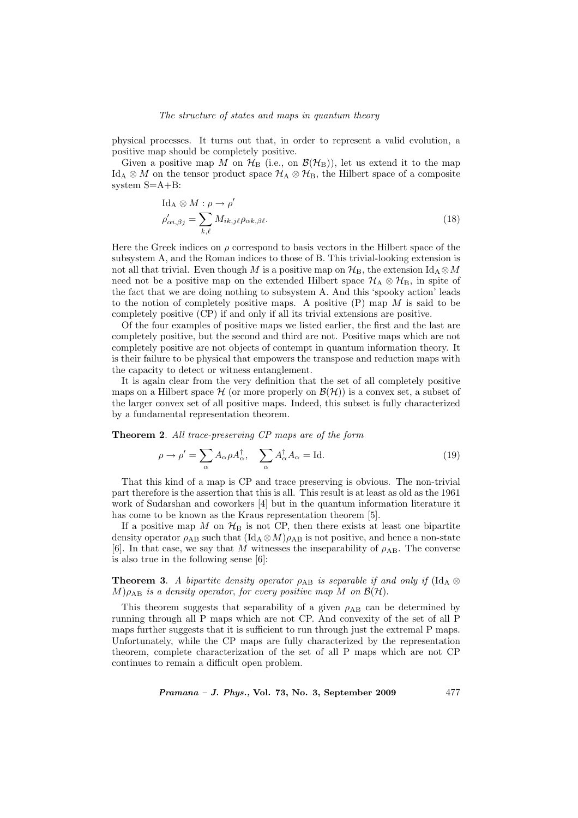physical processes. It turns out that, in order to represent a valid evolution, a positive map should be completely positive.

Given a positive map M on  $H_B$  (i.e., on  $\mathcal{B}(\mathcal{H}_B)$ ), let us extend it to the map Id<sub>A</sub> ⊗ M on the tensor product space  $\mathcal{H}_{A} \otimes \mathcal{H}_{B}$ , the Hilbert space of a composite system S=A+B:

$$
\mathrm{Id}_{\mathrm{A}} \otimes M : \rho \to \rho'
$$
  
\n
$$
\rho'_{\alpha i, \beta j} = \sum_{k,\ell} M_{ik,j\ell} \rho_{\alpha k, \beta \ell}.
$$
\n(18)

Here the Greek indices on  $\rho$  correspond to basis vectors in the Hilbert space of the subsystem A, and the Roman indices to those of B. This trivial-looking extension is not all that trivial. Even though M is a positive map on  $\mathcal{H}_{B}$ , the extension  $\mathrm{Id}_{A} \otimes M$ need not be a positive map on the extended Hilbert space  $\mathcal{H}_{A} \otimes \mathcal{H}_{B}$ , in spite of the fact that we are doing nothing to subsystem A. And this 'spooky action' leads to the notion of completely positive maps. A positive  $(P)$  map M is said to be completely positive (CP) if and only if all its trivial extensions are positive.

Of the four examples of positive maps we listed earlier, the first and the last are completely positive, but the second and third are not. Positive maps which are not completely positive are not objects of contempt in quantum information theory. It is their failure to be physical that empowers the transpose and reduction maps with the capacity to detect or witness entanglement.

It is again clear from the very definition that the set of all completely positive maps on a Hilbert space  $\mathcal H$  (or more properly on  $\mathcal B(\mathcal H)$ ) is a convex set, a subset of the larger convex set of all positive maps. Indeed, this subset is fully characterized by a fundamental representation theorem.

Theorem 2. All trace-preserving CP maps are of the form

$$
\rho \to \rho' = \sum_{\alpha} A_{\alpha} \rho A_{\alpha}^{\dagger}, \quad \sum_{\alpha} A_{\alpha}^{\dagger} A_{\alpha} = \text{Id}.
$$
 (19)

That this kind of a map is CP and trace preserving is obvious. The non-trivial part therefore is the assertion that this is all. This result is at least as old as the 1961 work of Sudarshan and coworkers [4] but in the quantum information literature it has come to be known as the Kraus representation theorem [5].

If a positive map M on  $\mathcal{H}_B$  is not CP, then there exists at least one bipartite density operator  $\rho_{AB}$  such that  $(\text{Id}_A \otimes M)\rho_{AB}$  is not positive, and hence a non-state [6]. In that case, we say that M witnesses the inseparability of  $\rho_{AB}$ . The converse is also true in the following sense [6]:

**Theorem 3.** A bipartite density operator  $\rho_{AB}$  is separable if and only if (Id<sub>A</sub> ⊗  $M$ ) $\rho_{AB}$  is a density operator, for every positive map M on  $\mathcal{B}(\mathcal{H})$ .

This theorem suggests that separability of a given  $\rho_{AB}$  can be determined by running through all P maps which are not CP. And convexity of the set of all P maps further suggests that it is sufficient to run through just the extremal P maps. Unfortunately, while the CP maps are fully characterized by the representation theorem, complete characterization of the set of all P maps which are not CP continues to remain a difficult open problem.

**Pramana – J. Phys., Vol. 73, No. 3, September 2009** 477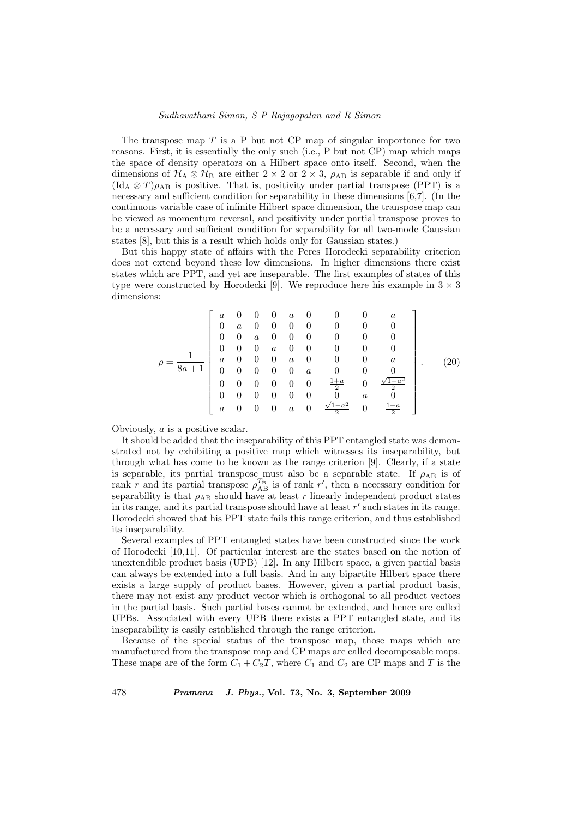# Sudhavathani Simon, S P Rajagopalan and R Simon

The transpose map  $T$  is a P but not CP map of singular importance for two reasons. First, it is essentially the only such (i.e., P but not CP) map which maps the space of density operators on a Hilbert space onto itself. Second, when the dimensions of  $H_A \otimes H_B$  are either 2 × 2 or 2 × 3,  $\rho_{AB}$  is separable if and only if  $(\text{Id}_A \otimes T)\rho_{AB}$  is positive. That is, positivity under partial transpose (PPT) is a necessary and sufficient condition for separability in these dimensions [6,7]. (In the continuous variable case of infinite Hilbert space dimension, the transpose map can be viewed as momentum reversal, and positivity under partial transpose proves to be a necessary and sufficient condition for separability for all two-mode Gaussian states [8], but this is a result which holds only for Gaussian states.)

But this happy state of affairs with the Peres–Horodecki separability criterion does not extend beyond these low dimensions. In higher dimensions there exist states which are PPT, and yet are inseparable. The first examples of states of this type were constructed by Horodecki [9]. We reproduce here his example in  $3 \times 3$ dimensions:

$$
\rho = \frac{1}{8a+1} \begin{bmatrix} a & 0 & 0 & 0 & a & 0 & 0 & 0 & a \\ 0 & a & 0 & 0 & 0 & 0 & 0 & 0 & 0 \\ 0 & 0 & a & 0 & 0 & 0 & 0 & 0 & 0 \\ 0 & 0 & 0 & a & 0 & 0 & 0 & 0 & 0 \\ a & 0 & 0 & 0 & a & 0 & 0 & 0 & a \\ 0 & 0 & 0 & 0 & 0 & a & 0 & 0 & 0 \\ 0 & 0 & 0 & 0 & 0 & 0 & \frac{1+a}{2} & 0 & \frac{\sqrt{1-a^2}}{2} \\ a & 0 & 0 & 0 & a & 0 & \frac{\sqrt{1-a^2}}{2} & 0 & \frac{1+a}{2} \end{bmatrix} . \tag{20}
$$

Obviously, a is a positive scalar.

It should be added that the inseparability of this PPT entangled state was demonstrated not by exhibiting a positive map which witnesses its inseparability, but through what has come to be known as the range criterion [9]. Clearly, if a state is separable, its partial transpose must also be a separable state. If  $\rho_{AB}$  is of rank r and its partial transpose  $\rho_{AB}^{T_B}$  is of rank r', then a necessary condition for separability is that  $\rho_{AB}$  should have at least r linearly independent product states in its range, and its partial transpose should have at least  $r'$  such states in its range. Horodecki showed that his PPT state fails this range criterion, and thus established its inseparability.

Several examples of PPT entangled states have been constructed since the work of Horodecki [10,11]. Of particular interest are the states based on the notion of unextendible product basis (UPB) [12]. In any Hilbert space, a given partial basis can always be extended into a full basis. And in any bipartite Hilbert space there exists a large supply of product bases. However, given a partial product basis, there may not exist any product vector which is orthogonal to all product vectors in the partial basis. Such partial bases cannot be extended, and hence are called UPBs. Associated with every UPB there exists a PPT entangled state, and its inseparability is easily established through the range criterion.

Because of the special status of the transpose map, those maps which are manufactured from the transpose map and CP maps are called decomposable maps. These maps are of the form  $C_1 + C_2T$ , where  $C_1$  and  $C_2$  are CP maps and T is the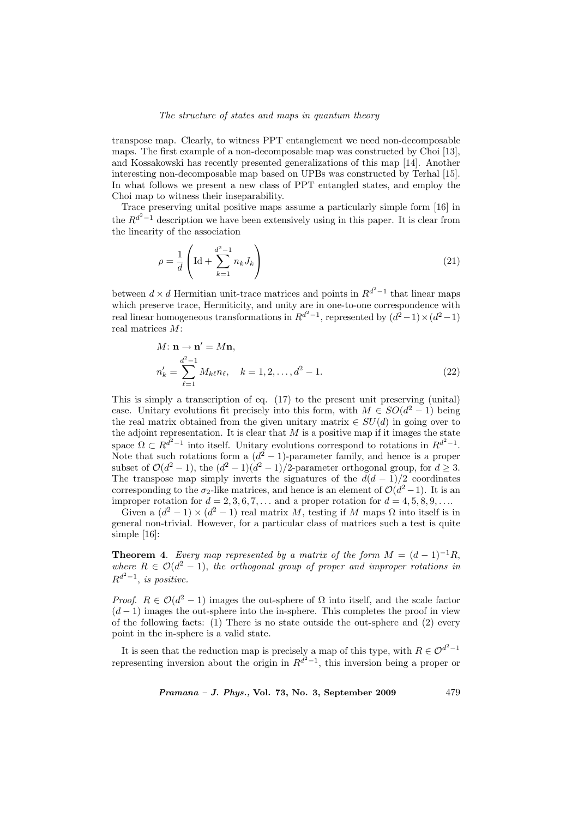transpose map. Clearly, to witness PPT entanglement we need non-decomposable maps. The first example of a non-decomposable map was constructed by Choi [13], and Kossakowski has recently presented generalizations of this map [14]. Another interesting non-decomposable map based on UPBs was constructed by Terhal [15]. In what follows we present a new class of PPT entangled states, and employ the Choi map to witness their inseparability.

Trace preserving unital positive maps assume a particularly simple form [16] in the  $R^{d^2-1}$  description we have been extensively using in this paper. It is clear from the linearity of the association

$$
\rho = \frac{1}{d} \left( \text{Id} + \sum_{k=1}^{d^2 - 1} n_k J_k \right)
$$
\n(21)

between  $d \times d$  Hermitian unit-trace matrices and points in  $R^{d^2-1}$  that linear maps which preserve trace, Hermiticity, and unity are in one-to-one correspondence with real linear homogeneous transformations in  $R^{d^2-1}$ , represented by  $(d^2-1)\times(d^2-1)$ real matrices M:

$$
M: \mathbf{n} \to \mathbf{n}' = M\mathbf{n},
$$
  
\n
$$
n'_{k} = \sum_{\ell=1}^{d^{2}-1} M_{k\ell} n_{\ell}, \quad k = 1, 2, ..., d^{2} - 1.
$$
\n(22)

This is simply a transcription of eq. (17) to the present unit preserving (unital) case. Unitary evolutions fit precisely into this form, with  $M \in SO(d^2 - 1)$  being the real matrix obtained from the given unitary matrix  $\in SU(d)$  in going over to the adjoint representation. It is clear that  $M$  is a positive map if it images the state space  $\Omega \subset R^{d^2-1}$  into itself. Unitary evolutions correspond to rotations in  $R^{d^2-1}$ . Note that such rotations form a  $(d^2 - 1)$ -parameter family, and hence is a proper subset of  $\mathcal{O}(d^2-1)$ , the  $(d^2-1)(d^2-1)/2$ -parameter orthogonal group, for  $d \geq 3$ . The transpose map simply inverts the signatures of the  $d(d-1)/2$  coordinates corresponding to the  $\sigma_2$ -like matrices, and hence is an element of  $\mathcal{O}(d^2-1)$ . It is an improper rotation for  $d = 2, 3, 6, 7, \ldots$  and a proper rotation for  $d = 4, 5, 8, 9, \ldots$ 

Given a  $(d^2 - 1) \times (d^2 - 1)$  real matrix M, testing if M maps  $\Omega$  into itself is in general non-trivial. However, for a particular class of matrices such a test is quite simple [16]:

**Theorem 4.** Every map represented by a matrix of the form  $M = (d-1)^{-1}R$ , where  $R \in \mathcal{O}(d^2-1)$ , the orthogonal group of proper and improper rotations in  $R^{d^2-1}$ , is positive.

Proof.  $R \in \mathcal{O}(d^2 - 1)$  images the out-sphere of  $\Omega$  into itself, and the scale factor  $(d-1)$  images the out-sphere into the in-sphere. This completes the proof in view of the following facts: (1) There is no state outside the out-sphere and (2) every point in the in-sphere is a valid state.

It is seen that the reduction map is precisely a map of this type, with  $R \in \mathcal{O}^{d^2-1}$ representing inversion about the origin in  $R^{d^2-1}$ , this inversion being a proper or

 $Pramana - J. Phys., Vol. 73, No. 3, September 2009$  479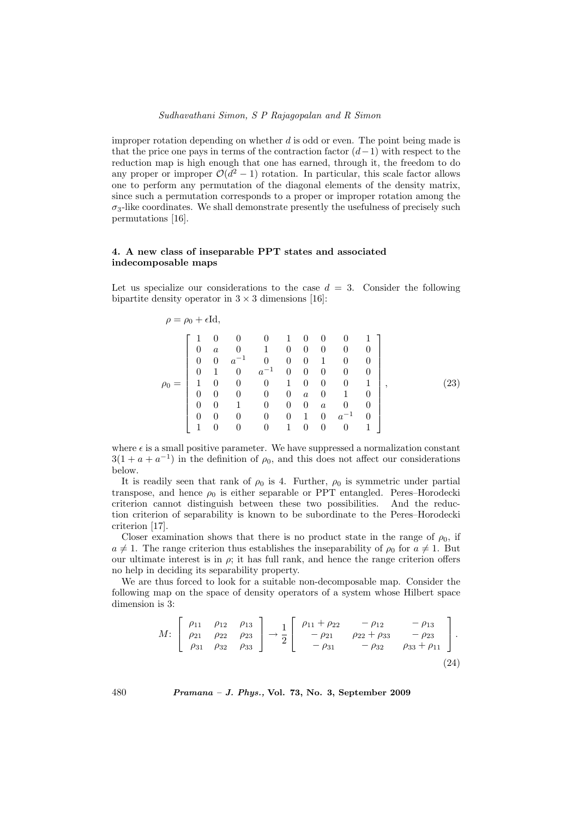improper rotation depending on whether  $d$  is odd or even. The point being made is that the price one pays in terms of the contraction factor  $(d-1)$  with respect to the reduction map is high enough that one has earned, through it, the freedom to do any proper or improper  $\mathcal{O}(d^2-1)$  rotation. In particular, this scale factor allows one to perform any permutation of the diagonal elements of the density matrix, since such a permutation corresponds to a proper or improper rotation among the  $\sigma_3$ -like coordinates. We shall demonstrate presently the usefulness of precisely such permutations [16].

# 4. A new class of inseparable PPT states and associated indecomposable maps

Let us specialize our considerations to the case  $d = 3$ . Consider the following bipartite density operator in  $3 \times 3$  dimensions [16]:

$$
\rho = \rho_0 + \epsilon \mathrm{Id},
$$

$$
\rho_0 = \left[\begin{array}{cccccccc} 1 & 0 & 0 & 0 & 1 & 0 & 0 & 0 & 1 \\ 0 & a & 0 & 1 & 0 & 0 & 0 & 0 & 0 \\ 0 & 0 & a^{-1} & 0 & 0 & 0 & 1 & 0 & 0 \\ 0 & 1 & 0 & a^{-1} & 0 & 0 & 0 & 0 & 0 \\ 1 & 0 & 0 & 0 & 1 & 0 & 0 & 0 & 1 \\ 0 & 0 & 0 & 0 & 0 & a & 0 & 1 & 0 \\ 0 & 0 & 1 & 0 & 0 & 0 & a & 0 & 0 \\ 0 & 0 & 0 & 0 & 0 & 1 & 0 & a^{-1} & 0 \\ 1 & 0 & 0 & 0 & 1 & 0 & 0 & 0 & 1 \end{array}\right],
$$
\n(23)

where  $\epsilon$  is a small positive parameter. We have suppressed a normalization constant  $3(1 + a + a^{-1})$  in the definition of  $\rho_0$ , and this does not affect our considerations below.

It is readily seen that rank of  $\rho_0$  is 4. Further,  $\rho_0$  is symmetric under partial transpose, and hence  $\rho_0$  is either separable or PPT entangled. Peres–Horodecki criterion cannot distinguish between these two possibilities. And the reduction criterion of separability is known to be subordinate to the Peres–Horodecki criterion [17].

Closer examination shows that there is no product state in the range of  $\rho_0$ , if  $a \neq 1$ . The range criterion thus establishes the inseparability of  $\rho_0$  for  $a \neq 1$ . But our ultimate interest is in  $\rho$ ; it has full rank, and hence the range criterion offers no help in deciding its separability property.

We are thus forced to look for a suitable non-decomposable map. Consider the following map on the space of density operators of a system whose Hilbert space dimension is 3:

$$
M: \begin{bmatrix} \rho_{11} & \rho_{12} & \rho_{13} \\ \rho_{21} & \rho_{22} & \rho_{23} \\ \rho_{31} & \rho_{32} & \rho_{33} \end{bmatrix} \rightarrow \frac{1}{2} \begin{bmatrix} \rho_{11} + \rho_{22} & -\rho_{12} & -\rho_{13} \\ -\rho_{21} & \rho_{22} + \rho_{33} & -\rho_{23} \\ -\rho_{31} & -\rho_{32} & \rho_{33} + \rho_{11} \end{bmatrix}.
$$
\n(24)

480 Pramana – J. Phys., Vol. 73, No. 3, September 2009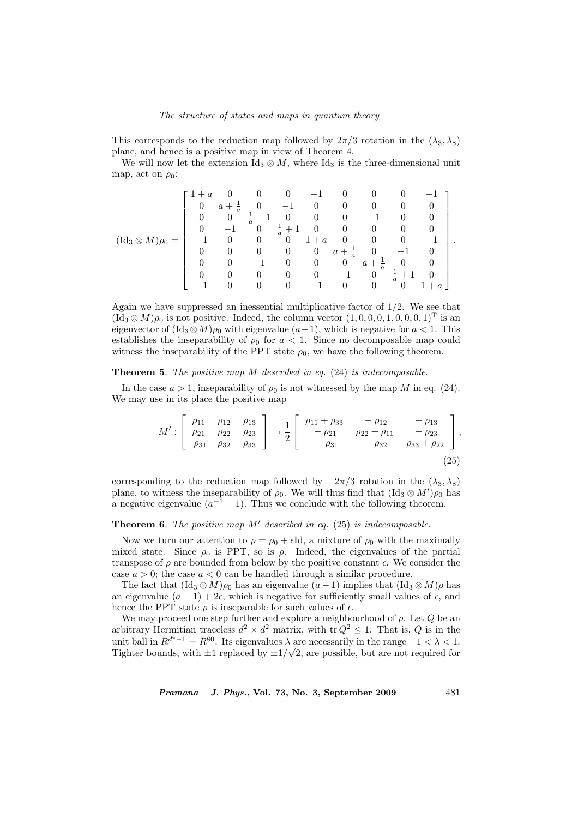This corresponds to the reduction map followed by  $2\pi/3$  rotation in the  $(\lambda_3, \lambda_8)$ plane, and hence is a positive map in view of Theorem 4.

We will now let the extension  $\text{Id}_3 \otimes M$ , where  $\text{Id}_3$  is the three-dimensional unit map, act on  $\rho_0$ :

$$
(\mathrm{Id_3}\otimes M)\rho_0=\left[\begin{array}{rrrrrrrrrr}1+a&0&0&0&-1&0&0&0&-1\\0&a+\frac{1}{a}&0&-1&0&0&0&0&0\\0&0&\frac{1}{a}+1&0&0&0&-1&0&0\\0&-1&0&\frac{1}{a}+1&0&0&0&0&0\\-1&0&0&0&1+a&0&0&0&-1\\0&0&0&0&0&a+\frac{1}{a}&0&-1&0\\0&0&-1&0&0&0&a+\frac{1}{a}&0&0\\0&0&0&0&0&-1&0&\frac{1}{a}+1&0\\-1&0&0&0&-1&0&0&0&1+a\end{array}\right].
$$

Again we have suppressed an inessential multiplicative factor of  $1/2$ . We see that  $(\text{Id}_3 \otimes M)\rho_0$  is not positive. Indeed, the column vector  $(1,0,0,0,1,0,0,0,1)$ <sup>T</sup> is an eigenvector of  $(\text{Id}_3 \otimes M)\rho_0$  with eigenvalue  $(a-1)$ , which is negative for  $a < 1$ . This establishes the inseparability of  $\rho_0$  for  $a < 1$ . Since no decomposable map could witness the inseparability of the PPT state  $\rho_0$ , we have the following theorem.

### **Theorem 5.** The positive map  $M$  described in eq.  $(24)$  is indecomposable.

In the case  $a > 1$ , inseparability of  $\rho_0$  is not witnessed by the map M in eq. (24). We may use in its place the positive map

$$
M':\begin{bmatrix} \rho_{11} & \rho_{12} & \rho_{13} \\ \rho_{21} & \rho_{22} & \rho_{23} \\ \rho_{31} & \rho_{32} & \rho_{33} \end{bmatrix} \rightarrow \frac{1}{2} \begin{bmatrix} \rho_{11} + \rho_{33} & -\rho_{12} & -\rho_{13} \\ -\rho_{21} & \rho_{22} + \rho_{11} & -\rho_{23} \\ -\rho_{31} & -\rho_{32} & \rho_{33} + \rho_{22} \end{bmatrix},
$$
\n(25)

corresponding to the reduction map followed by  $-2\pi/3$  rotation in the  $(\lambda_3, \lambda_8)$ plane, to witness the inseparability of  $\rho_0$ . We will thus find that  $(\text{Id}_3 \otimes M')\rho_0$  has a negative eigenvalue  $(a^{-1} - 1)$ . Thus we conclude with the following theorem.

## **Theorem 6.** The positive map  $M'$  described in eq. (25) is indecomposable.

Now we turn our attention to  $\rho = \rho_0 + \epsilon Id$ , a mixture of  $\rho_0$  with the maximally mixed state. Since  $\rho_0$  is PPT, so is  $\rho$ . Indeed, the eigenvalues of the partial transpose of  $\rho$  are bounded from below by the positive constant  $\epsilon$ . We consider the case  $a > 0$ ; the case  $a < 0$  can be handled through a similar procedure.

The fact that  $(\text{Id}_3 \otimes M)\rho_0$  has an eigenvalue  $(a-1)$  implies that  $(\text{Id}_3 \otimes M)\rho$  has an eigenvalue  $(a - 1) + 2\epsilon$ , which is negative for sufficiently small values of  $\epsilon$ , and hence the PPT state  $\rho$  is inseparable for such values of  $\epsilon$ .

We may proceed one step further and explore a neighbourhood of  $\rho$ . Let  $Q$  be an arbitrary Hermitian traceless  $d^2 \times d^2$  matrix, with tr  $Q^2 \leq 1$ . That is, Q is in the unit ball in  $R^{d^4-1} = R^{80}$ . Its eigenvalues  $\lambda$  are necessarily in the range  $-1 < \lambda < 1$ . Tighter bounds, with  $\pm 1$  replaced by  $\pm 1/\sqrt{2}$ , are possible, but are not required for

*Pramana – J. Phys.*, Vol. 73, No. 3, September 2009  $481$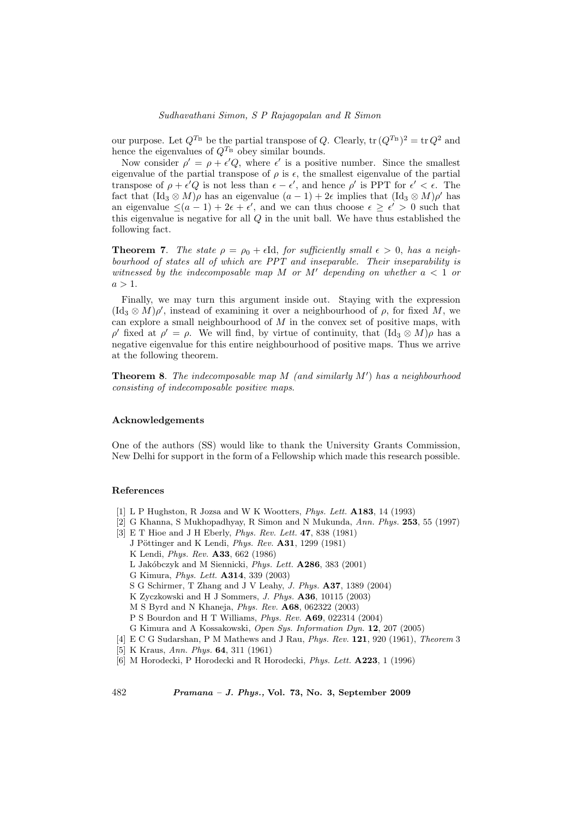our purpose. Let  $Q^{T_{\text{B}}}$  be the partial transpose of Q. Clearly,  $\text{tr}\,(Q^{T_{\text{B}}})^2 = \text{tr}\,Q^2$  and hence the eigenvalues of  $Q^{T_{\text{B}}}$  obey similar bounds.

Now consider  $\rho' = \rho + \epsilon' Q$ , where  $\epsilon'$  is a positive number. Since the smallest eigenvalue of the partial transpose of  $\rho$  is  $\epsilon$ , the smallest eigenvalue of the partial transpose of  $\rho + \epsilon'Q$  is not less than  $\epsilon - \epsilon'$ , and hence  $\rho'$  is PPT for  $\epsilon' < \epsilon$ . The fact that  $(\mathrm{Id}_3 \otimes M)\rho$  has an eigenvalue  $(a-1) + 2\epsilon$  implies that  $(\mathrm{Id}_3 \otimes M)\rho'$  has an eigenvalue  $\leq (a-1) + 2\epsilon + \epsilon'$ , and we can thus choose  $\epsilon \geq \epsilon' > 0$  such that this eigenvalue is negative for all Q in the unit ball. We have thus established the following fact.

**Theorem 7.** The state  $\rho = \rho_0 + \epsilon \mathrm{Id}$ , for sufficiently small  $\epsilon > 0$ , has a neighbourhood of states all of which are PPT and inseparable. Their inseparability is witnessed by the indecomposable map M or M' depending on whether  $a < 1$  or  $a > 1$ .

Finally, we may turn this argument inside out. Staying with the expression  $(\mathrm{Id}_3 \otimes M)\rho'$ , instead of examining it over a neighbourhood of  $\rho$ , for fixed M, we can explore a small neighbourhood of  $M$  in the convex set of positive maps, with  $ρ'$  fixed at  $ρ' = ρ$ . We will find, by virtue of continuity, that  $(\text{Id}_3 \otimes M)ρ$  has a negative eigenvalue for this entire neighbourhood of positive maps. Thus we arrive at the following theorem.

**Theorem 8.** The indecomposable map M (and similarly  $M'$ ) has a neighbourhood consisting of indecomposable positive maps.

### Acknowledgements

One of the authors (SS) would like to thank the University Grants Commission, New Delhi for support in the form of a Fellowship which made this research possible.

#### References

- [1] L P Hughston, R Jozsa and W K Wootters, Phys. Lett. A183, 14 (1993)
- [2] G Khanna, S Mukhopadhyay, R Simon and N Mukunda, Ann. Phys. 253, 55 (1997)
- [3] E T Hioe and J H Eberly, Phys. Rev. Lett. 47, 838 (1981)
	- J Pöttinger and K Lendi, Phys. Rev.  $A31$ , 1299 (1981)
	- K Lendi, Phys. Rev. A33, 662 (1986)
	- L Jakóbczyk and M Siennicki, Phys. Lett.  $A286$ , 383 (2001)
	- G Kimura, Phys. Lett. A314, 339 (2003)
	- S G Schirmer, T Zhang and J V Leahy, J. Phys. A37, 1389 (2004)
	- K Zyczkowski and H J Sommers, J. Phys. A36, 10115 (2003)
	- M S Byrd and N Khaneja, Phys. Rev. A68, 062322 (2003)
	- P S Bourdon and H T Williams, Phys. Rev. A69, 022314 (2004)
	- G Kimura and A Kossakowski, Open Sys. Information Dyn. 12, 207 (2005)
- [4] E C G Sudarshan, P M Mathews and J Rau, Phys. Rev. 121, 920 (1961), Theorem 3
- [5] K Kraus, Ann. Phys. **64**, 311 (1961)
- [6] M Horodecki, P Horodecki and R Horodecki, *Phys. Lett.* **A223**, 1 (1996)

482 Pramana – J. Phys., Vol. 73, No. 3, September 2009